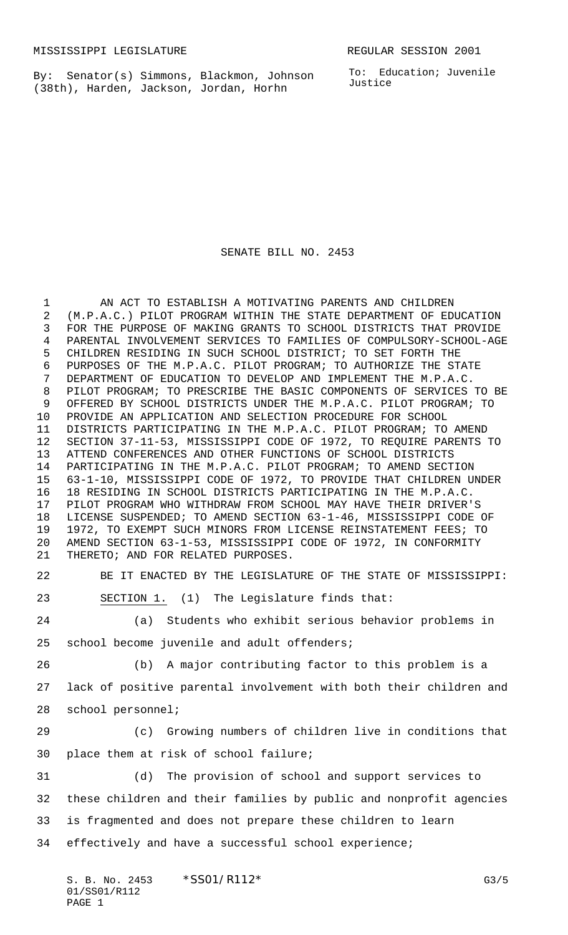By: Senator(s) Simmons, Blackmon, Johnson (38th), Harden, Jackson, Jordan, Horhn

To: Education; Juvenile Justice

SENATE BILL NO. 2453

1 AN ACT TO ESTABLISH A MOTIVATING PARENTS AND CHILDREN (M.P.A.C.) PILOT PROGRAM WITHIN THE STATE DEPARTMENT OF EDUCATION FOR THE PURPOSE OF MAKING GRANTS TO SCHOOL DISTRICTS THAT PROVIDE PARENTAL INVOLVEMENT SERVICES TO FAMILIES OF COMPULSORY-SCHOOL-AGE CHILDREN RESIDING IN SUCH SCHOOL DISTRICT; TO SET FORTH THE PURPOSES OF THE M.P.A.C. PILOT PROGRAM; TO AUTHORIZE THE STATE DEPARTMENT OF EDUCATION TO DEVELOP AND IMPLEMENT THE M.P.A.C. PILOT PROGRAM; TO PRESCRIBE THE BASIC COMPONENTS OF SERVICES TO BE OFFERED BY SCHOOL DISTRICTS UNDER THE M.P.A.C. PILOT PROGRAM; TO PROVIDE AN APPLICATION AND SELECTION PROCEDURE FOR SCHOOL DISTRICTS PARTICIPATING IN THE M.P.A.C. PILOT PROGRAM; TO AMEND SECTION 37-11-53, MISSISSIPPI CODE OF 1972, TO REQUIRE PARENTS TO ATTEND CONFERENCES AND OTHER FUNCTIONS OF SCHOOL DISTRICTS PARTICIPATING IN THE M.P.A.C. PILOT PROGRAM; TO AMEND SECTION 63-1-10, MISSISSIPPI CODE OF 1972, TO PROVIDE THAT CHILDREN UNDER 18 RESIDING IN SCHOOL DISTRICTS PARTICIPATING IN THE M.P.A.C. PILOT PROGRAM WHO WITHDRAW FROM SCHOOL MAY HAVE THEIR DRIVER'S LICENSE SUSPENDED; TO AMEND SECTION 63-1-46, MISSISSIPPI CODE OF 1972, TO EXEMPT SUCH MINORS FROM LICENSE REINSTATEMENT FEES; TO AMEND SECTION 63-1-53, MISSISSIPPI CODE OF 1972, IN CONFORMITY THERETO; AND FOR RELATED PURPOSES.

 BE IT ENACTED BY THE LEGISLATURE OF THE STATE OF MISSISSIPPI: SECTION 1. (1) The Legislature finds that:

 (a) Students who exhibit serious behavior problems in school become juvenile and adult offenders;

 (b) A major contributing factor to this problem is a lack of positive parental involvement with both their children and school personnel;

 (c) Growing numbers of children live in conditions that place them at risk of school failure;

 (d) The provision of school and support services to these children and their families by public and nonprofit agencies is fragmented and does not prepare these children to learn effectively and have a successful school experience;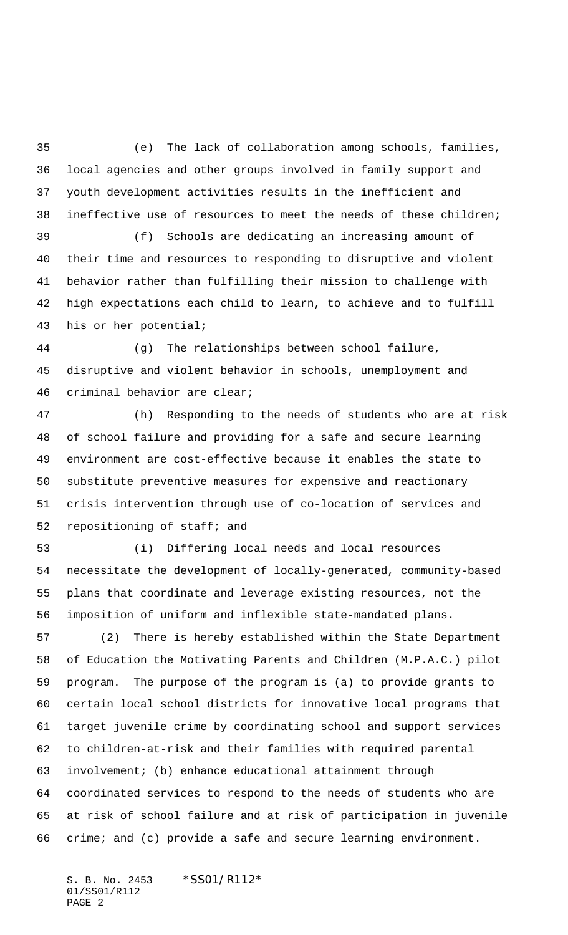(e) The lack of collaboration among schools, families, local agencies and other groups involved in family support and youth development activities results in the inefficient and ineffective use of resources to meet the needs of these children;

 (f) Schools are dedicating an increasing amount of their time and resources to responding to disruptive and violent behavior rather than fulfilling their mission to challenge with high expectations each child to learn, to achieve and to fulfill his or her potential;

 (g) The relationships between school failure, disruptive and violent behavior in schools, unemployment and criminal behavior are clear;

 (h) Responding to the needs of students who are at risk of school failure and providing for a safe and secure learning environment are cost-effective because it enables the state to substitute preventive measures for expensive and reactionary crisis intervention through use of co-location of services and repositioning of staff; and

 (i) Differing local needs and local resources necessitate the development of locally-generated, community-based plans that coordinate and leverage existing resources, not the imposition of uniform and inflexible state-mandated plans.

 (2) There is hereby established within the State Department of Education the Motivating Parents and Children (M.P.A.C.) pilot program. The purpose of the program is (a) to provide grants to certain local school districts for innovative local programs that target juvenile crime by coordinating school and support services to children-at-risk and their families with required parental involvement; (b) enhance educational attainment through coordinated services to respond to the needs of students who are at risk of school failure and at risk of participation in juvenile crime; and (c) provide a safe and secure learning environment.

S. B. No. 2453 \* SS01/R112\* 01/SS01/R112 PAGE 2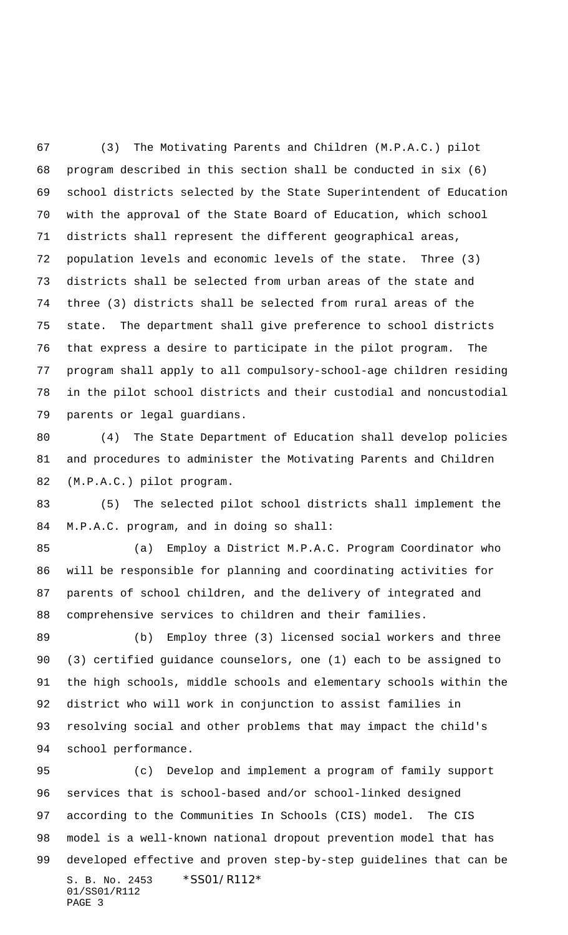(3) The Motivating Parents and Children (M.P.A.C.) pilot program described in this section shall be conducted in six (6) school districts selected by the State Superintendent of Education with the approval of the State Board of Education, which school districts shall represent the different geographical areas, population levels and economic levels of the state. Three (3) districts shall be selected from urban areas of the state and three (3) districts shall be selected from rural areas of the state. The department shall give preference to school districts that express a desire to participate in the pilot program. The program shall apply to all compulsory-school-age children residing in the pilot school districts and their custodial and noncustodial parents or legal guardians.

 (4) The State Department of Education shall develop policies and procedures to administer the Motivating Parents and Children (M.P.A.C.) pilot program.

 (5) The selected pilot school districts shall implement the M.P.A.C. program, and in doing so shall:

 (a) Employ a District M.P.A.C. Program Coordinator who will be responsible for planning and coordinating activities for parents of school children, and the delivery of integrated and comprehensive services to children and their families.

 (b) Employ three (3) licensed social workers and three (3) certified guidance counselors, one (1) each to be assigned to the high schools, middle schools and elementary schools within the district who will work in conjunction to assist families in resolving social and other problems that may impact the child's school performance.

S. B. No. 2453 \*SS01/R112\* 01/SS01/R112 PAGE 3 (c) Develop and implement a program of family support services that is school-based and/or school-linked designed according to the Communities In Schools (CIS) model. The CIS model is a well-known national dropout prevention model that has developed effective and proven step-by-step guidelines that can be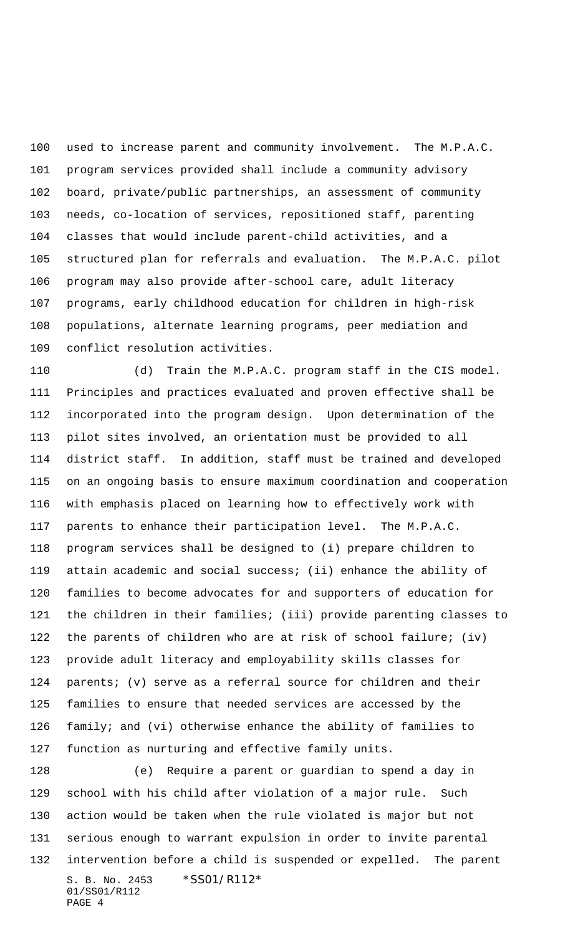used to increase parent and community involvement. The M.P.A.C. program services provided shall include a community advisory board, private/public partnerships, an assessment of community needs, co-location of services, repositioned staff, parenting classes that would include parent-child activities, and a structured plan for referrals and evaluation. The M.P.A.C. pilot program may also provide after-school care, adult literacy programs, early childhood education for children in high-risk populations, alternate learning programs, peer mediation and conflict resolution activities.

 (d) Train the M.P.A.C. program staff in the CIS model. Principles and practices evaluated and proven effective shall be incorporated into the program design. Upon determination of the pilot sites involved, an orientation must be provided to all district staff. In addition, staff must be trained and developed on an ongoing basis to ensure maximum coordination and cooperation with emphasis placed on learning how to effectively work with parents to enhance their participation level. The M.P.A.C. program services shall be designed to (i) prepare children to attain academic and social success; (ii) enhance the ability of families to become advocates for and supporters of education for the children in their families; (iii) provide parenting classes to the parents of children who are at risk of school failure; (iv) provide adult literacy and employability skills classes for parents; (v) serve as a referral source for children and their families to ensure that needed services are accessed by the family; and (vi) otherwise enhance the ability of families to function as nurturing and effective family units.

S. B. No. 2453 \*SS01/R112\* 01/SS01/R112 PAGE 4 (e) Require a parent or guardian to spend a day in school with his child after violation of a major rule. Such action would be taken when the rule violated is major but not serious enough to warrant expulsion in order to invite parental intervention before a child is suspended or expelled. The parent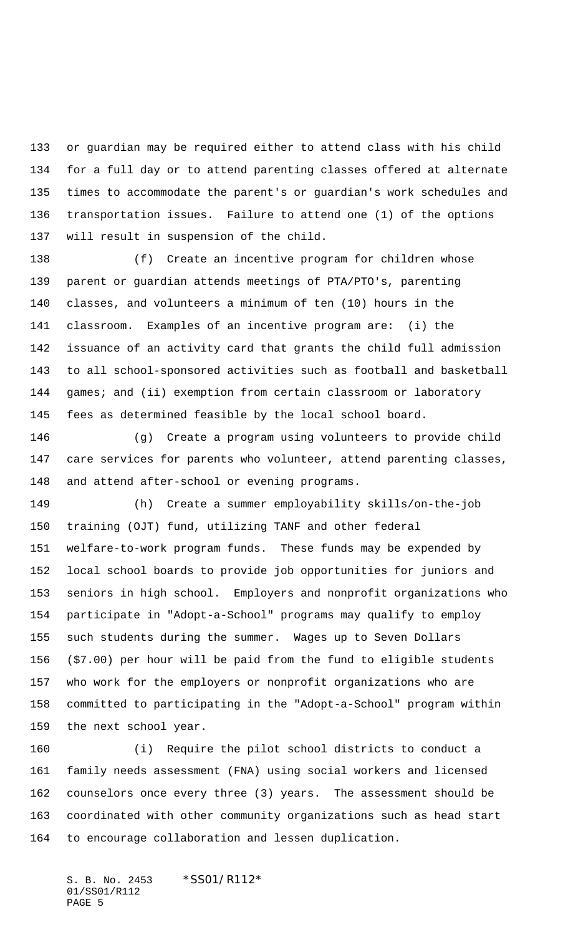or guardian may be required either to attend class with his child for a full day or to attend parenting classes offered at alternate times to accommodate the parent's or guardian's work schedules and transportation issues. Failure to attend one (1) of the options will result in suspension of the child.

 (f) Create an incentive program for children whose parent or guardian attends meetings of PTA/PTO's, parenting classes, and volunteers a minimum of ten (10) hours in the classroom. Examples of an incentive program are: (i) the issuance of an activity card that grants the child full admission to all school-sponsored activities such as football and basketball 144 games; and (ii) exemption from certain classroom or laboratory fees as determined feasible by the local school board.

 (g) Create a program using volunteers to provide child care services for parents who volunteer, attend parenting classes, and attend after-school or evening programs.

 (h) Create a summer employability skills/on-the-job training (OJT) fund, utilizing TANF and other federal welfare-to-work program funds. These funds may be expended by local school boards to provide job opportunities for juniors and seniors in high school. Employers and nonprofit organizations who participate in "Adopt-a-School" programs may qualify to employ such students during the summer. Wages up to Seven Dollars (\$7.00) per hour will be paid from the fund to eligible students who work for the employers or nonprofit organizations who are committed to participating in the "Adopt-a-School" program within the next school year.

 (i) Require the pilot school districts to conduct a family needs assessment (FNA) using social workers and licensed counselors once every three (3) years. The assessment should be coordinated with other community organizations such as head start to encourage collaboration and lessen duplication.

S. B. No. 2453 \* SS01/R112\* 01/SS01/R112 PAGE 5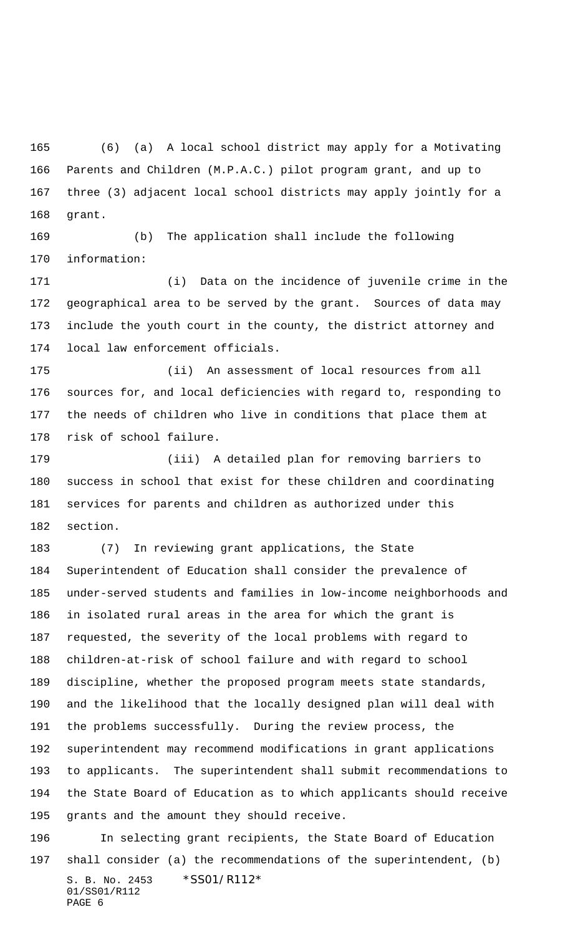(6) (a) A local school district may apply for a Motivating Parents and Children (M.P.A.C.) pilot program grant, and up to three (3) adjacent local school districts may apply jointly for a grant.

 (b) The application shall include the following information:

 (i) Data on the incidence of juvenile crime in the geographical area to be served by the grant. Sources of data may include the youth court in the county, the district attorney and local law enforcement officials.

 (ii) An assessment of local resources from all sources for, and local deficiencies with regard to, responding to the needs of children who live in conditions that place them at risk of school failure.

 (iii) A detailed plan for removing barriers to success in school that exist for these children and coordinating services for parents and children as authorized under this section.

 (7) In reviewing grant applications, the State Superintendent of Education shall consider the prevalence of under-served students and families in low-income neighborhoods and in isolated rural areas in the area for which the grant is requested, the severity of the local problems with regard to children-at-risk of school failure and with regard to school discipline, whether the proposed program meets state standards, and the likelihood that the locally designed plan will deal with the problems successfully. During the review process, the superintendent may recommend modifications in grant applications to applicants. The superintendent shall submit recommendations to the State Board of Education as to which applicants should receive grants and the amount they should receive.

S. B. No. 2453 \*SS01/R112\* 01/SS01/R112 PAGE 6 In selecting grant recipients, the State Board of Education shall consider (a) the recommendations of the superintendent, (b)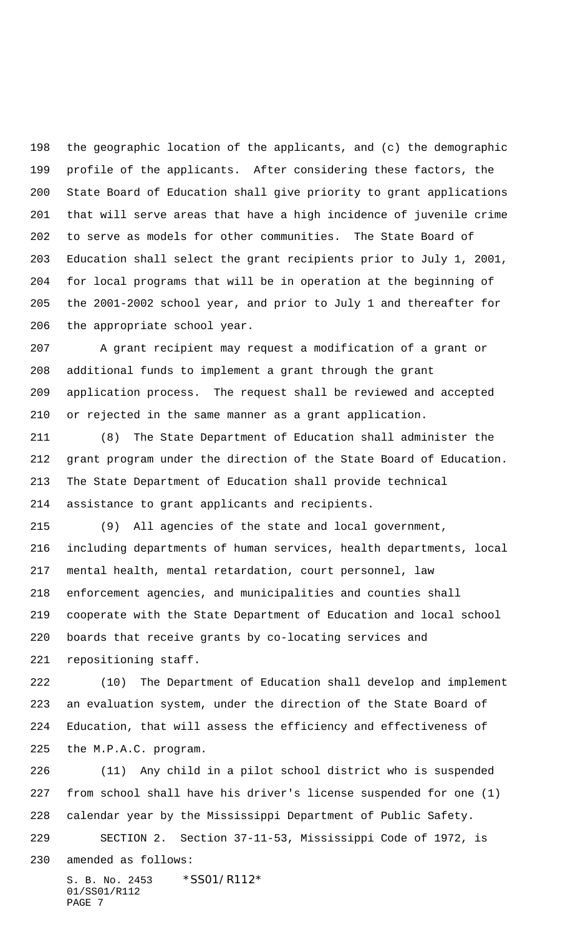the geographic location of the applicants, and (c) the demographic profile of the applicants. After considering these factors, the State Board of Education shall give priority to grant applications that will serve areas that have a high incidence of juvenile crime to serve as models for other communities. The State Board of Education shall select the grant recipients prior to July 1, 2001, for local programs that will be in operation at the beginning of the 2001-2002 school year, and prior to July 1 and thereafter for the appropriate school year.

 A grant recipient may request a modification of a grant or additional funds to implement a grant through the grant application process. The request shall be reviewed and accepted or rejected in the same manner as a grant application.

 (8) The State Department of Education shall administer the grant program under the direction of the State Board of Education. The State Department of Education shall provide technical assistance to grant applicants and recipients.

 (9) All agencies of the state and local government, including departments of human services, health departments, local mental health, mental retardation, court personnel, law enforcement agencies, and municipalities and counties shall cooperate with the State Department of Education and local school boards that receive grants by co-locating services and repositioning staff.

 (10) The Department of Education shall develop and implement an evaluation system, under the direction of the State Board of Education, that will assess the efficiency and effectiveness of the M.P.A.C. program.

 (11) Any child in a pilot school district who is suspended from school shall have his driver's license suspended for one (1) calendar year by the Mississippi Department of Public Safety.

SECTION 2. Section 37-11-53, Mississippi Code of 1972, is

amended as follows:

S. B. No. 2453 \*SS01/R112\* 01/SS01/R112 PAGE 7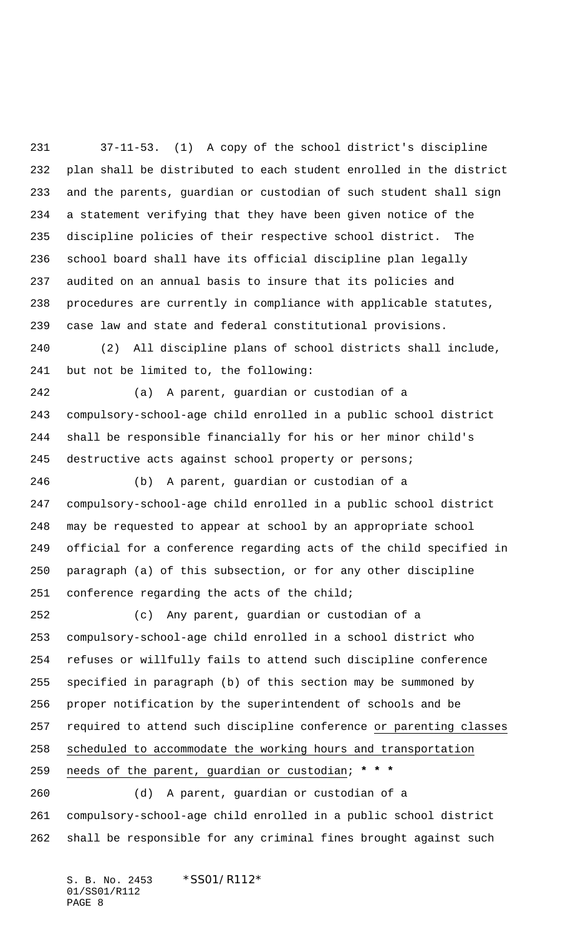37-11-53. (1) A copy of the school district's discipline plan shall be distributed to each student enrolled in the district and the parents, guardian or custodian of such student shall sign a statement verifying that they have been given notice of the discipline policies of their respective school district. The school board shall have its official discipline plan legally audited on an annual basis to insure that its policies and procedures are currently in compliance with applicable statutes, case law and state and federal constitutional provisions.

 (2) All discipline plans of school districts shall include, but not be limited to, the following:

 (a) A parent, guardian or custodian of a compulsory-school-age child enrolled in a public school district shall be responsible financially for his or her minor child's 245 destructive acts against school property or persons;

 (b) A parent, guardian or custodian of a compulsory-school-age child enrolled in a public school district may be requested to appear at school by an appropriate school official for a conference regarding acts of the child specified in paragraph (a) of this subsection, or for any other discipline conference regarding the acts of the child;

 (c) Any parent, guardian or custodian of a compulsory-school-age child enrolled in a school district who refuses or willfully fails to attend such discipline conference specified in paragraph (b) of this section may be summoned by proper notification by the superintendent of schools and be required to attend such discipline conference or parenting classes scheduled to accommodate the working hours and transportation needs of the parent, guardian or custodian; **\* \* \*** (d) A parent, guardian or custodian of a

 compulsory-school-age child enrolled in a public school district shall be responsible for any criminal fines brought against such

S. B. No. 2453 \*SS01/R112\* 01/SS01/R112 PAGE 8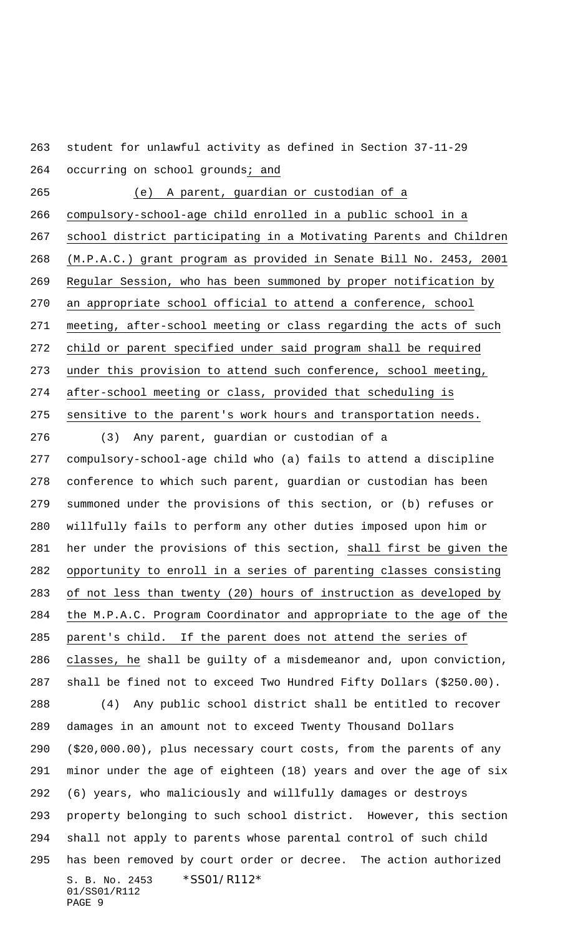student for unlawful activity as defined in Section 37-11-29 264 occurring on school grounds; and

 (e) A parent, guardian or custodian of a compulsory-school-age child enrolled in a public school in a school district participating in a Motivating Parents and Children (M.P.A.C.) grant program as provided in Senate Bill No. 2453, 2001 Regular Session, who has been summoned by proper notification by an appropriate school official to attend a conference, school meeting, after-school meeting or class regarding the acts of such child or parent specified under said program shall be required under this provision to attend such conference, school meeting, after-school meeting or class, provided that scheduling is sensitive to the parent's work hours and transportation needs.

S. B. No. 2453 \*SS01/R112\* 01/SS01/R112 PAGE 9 (3) Any parent, guardian or custodian of a compulsory-school-age child who (a) fails to attend a discipline conference to which such parent, guardian or custodian has been summoned under the provisions of this section, or (b) refuses or willfully fails to perform any other duties imposed upon him or her under the provisions of this section, shall first be given the opportunity to enroll in a series of parenting classes consisting of not less than twenty (20) hours of instruction as developed by the M.P.A.C. Program Coordinator and appropriate to the age of the parent's child. If the parent does not attend the series of classes, he shall be guilty of a misdemeanor and, upon conviction, shall be fined not to exceed Two Hundred Fifty Dollars (\$250.00). (4) Any public school district shall be entitled to recover damages in an amount not to exceed Twenty Thousand Dollars (\$20,000.00), plus necessary court costs, from the parents of any minor under the age of eighteen (18) years and over the age of six (6) years, who maliciously and willfully damages or destroys property belonging to such school district. However, this section shall not apply to parents whose parental control of such child has been removed by court order or decree. The action authorized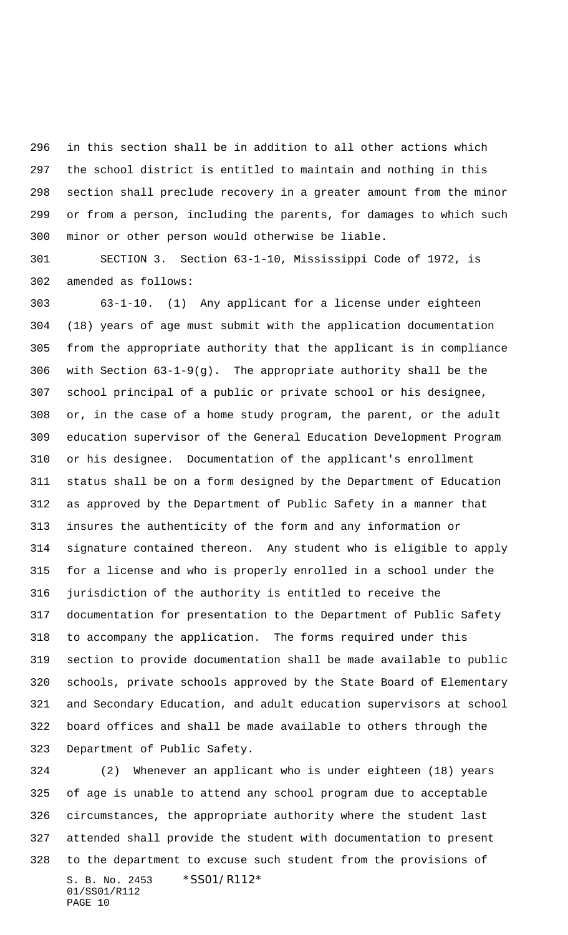in this section shall be in addition to all other actions which the school district is entitled to maintain and nothing in this section shall preclude recovery in a greater amount from the minor or from a person, including the parents, for damages to which such minor or other person would otherwise be liable.

 SECTION 3. Section 63-1-10, Mississippi Code of 1972, is amended as follows:

 63-1-10. (1) Any applicant for a license under eighteen (18) years of age must submit with the application documentation from the appropriate authority that the applicant is in compliance with Section 63-1-9(g). The appropriate authority shall be the school principal of a public or private school or his designee, or, in the case of a home study program, the parent, or the adult education supervisor of the General Education Development Program or his designee. Documentation of the applicant's enrollment status shall be on a form designed by the Department of Education as approved by the Department of Public Safety in a manner that insures the authenticity of the form and any information or signature contained thereon. Any student who is eligible to apply for a license and who is properly enrolled in a school under the jurisdiction of the authority is entitled to receive the documentation for presentation to the Department of Public Safety to accompany the application. The forms required under this section to provide documentation shall be made available to public schools, private schools approved by the State Board of Elementary and Secondary Education, and adult education supervisors at school board offices and shall be made available to others through the Department of Public Safety.

S. B. No. 2453 \*SS01/R112\* 01/SS01/R112 PAGE 10 (2) Whenever an applicant who is under eighteen (18) years of age is unable to attend any school program due to acceptable circumstances, the appropriate authority where the student last attended shall provide the student with documentation to present to the department to excuse such student from the provisions of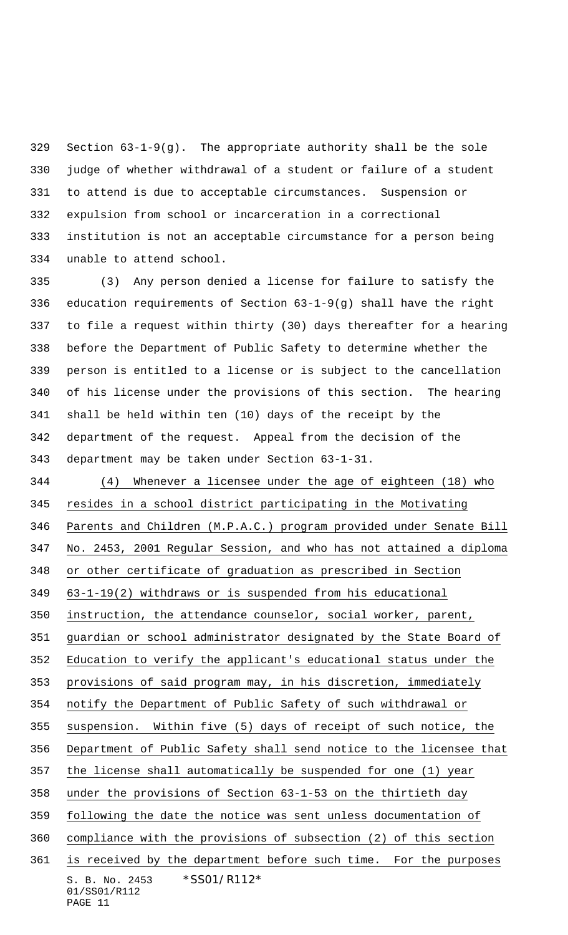Section 63-1-9(g). The appropriate authority shall be the sole judge of whether withdrawal of a student or failure of a student to attend is due to acceptable circumstances. Suspension or expulsion from school or incarceration in a correctional institution is not an acceptable circumstance for a person being unable to attend school.

 (3) Any person denied a license for failure to satisfy the education requirements of Section 63-1-9(g) shall have the right to file a request within thirty (30) days thereafter for a hearing before the Department of Public Safety to determine whether the person is entitled to a license or is subject to the cancellation of his license under the provisions of this section. The hearing shall be held within ten (10) days of the receipt by the department of the request. Appeal from the decision of the department may be taken under Section 63-1-31.

S. B. No. 2453 \*SS01/R112\* 01/SS01/R112 (4) Whenever a licensee under the age of eighteen (18) who resides in a school district participating in the Motivating Parents and Children (M.P.A.C.) program provided under Senate Bill No. 2453, 2001 Regular Session, and who has not attained a diploma or other certificate of graduation as prescribed in Section 63-1-19(2) withdraws or is suspended from his educational instruction, the attendance counselor, social worker, parent, guardian or school administrator designated by the State Board of Education to verify the applicant's educational status under the 353 provisions of said program may, in his discretion, immediately notify the Department of Public Safety of such withdrawal or suspension. Within five (5) days of receipt of such notice, the Department of Public Safety shall send notice to the licensee that the license shall automatically be suspended for one (1) year under the provisions of Section 63-1-53 on the thirtieth day following the date the notice was sent unless documentation of compliance with the provisions of subsection (2) of this section is received by the department before such time. For the purposes

```
PAGE 11
```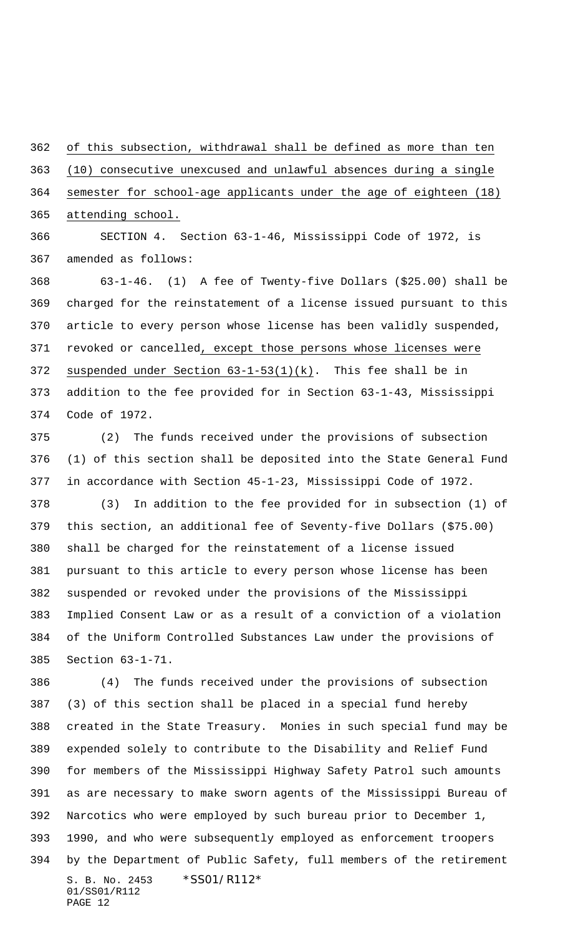of this subsection, withdrawal shall be defined as more than ten (10) consecutive unexcused and unlawful absences during a single semester for school-age applicants under the age of eighteen (18) attending school.

 SECTION 4. Section 63-1-46, Mississippi Code of 1972, is amended as follows:

 63-1-46. (1) A fee of Twenty-five Dollars (\$25.00) shall be charged for the reinstatement of a license issued pursuant to this article to every person whose license has been validly suspended, revoked or cancelled, except those persons whose licenses were suspended under Section 63-1-53(1)(k). This fee shall be in addition to the fee provided for in Section 63-1-43, Mississippi Code of 1972.

 (2) The funds received under the provisions of subsection (1) of this section shall be deposited into the State General Fund in accordance with Section 45-1-23, Mississippi Code of 1972.

 (3) In addition to the fee provided for in subsection (1) of this section, an additional fee of Seventy-five Dollars (\$75.00) shall be charged for the reinstatement of a license issued pursuant to this article to every person whose license has been suspended or revoked under the provisions of the Mississippi Implied Consent Law or as a result of a conviction of a violation of the Uniform Controlled Substances Law under the provisions of Section 63-1-71.

S. B. No. 2453 \*SS01/R112\* 01/SS01/R112 PAGE 12 (4) The funds received under the provisions of subsection (3) of this section shall be placed in a special fund hereby created in the State Treasury. Monies in such special fund may be expended solely to contribute to the Disability and Relief Fund for members of the Mississippi Highway Safety Patrol such amounts as are necessary to make sworn agents of the Mississippi Bureau of Narcotics who were employed by such bureau prior to December 1, 1990, and who were subsequently employed as enforcement troopers by the Department of Public Safety, full members of the retirement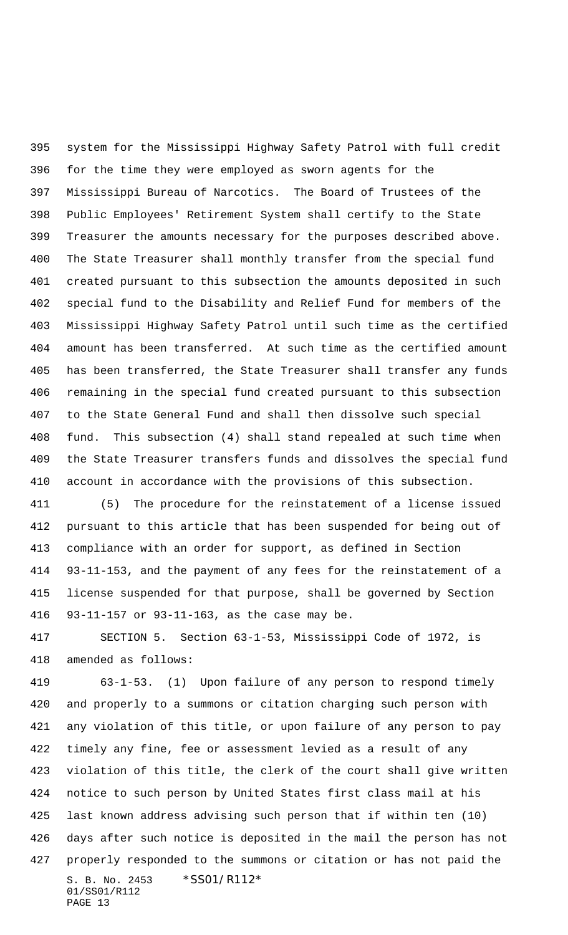system for the Mississippi Highway Safety Patrol with full credit for the time they were employed as sworn agents for the Mississippi Bureau of Narcotics. The Board of Trustees of the Public Employees' Retirement System shall certify to the State Treasurer the amounts necessary for the purposes described above. The State Treasurer shall monthly transfer from the special fund created pursuant to this subsection the amounts deposited in such special fund to the Disability and Relief Fund for members of the Mississippi Highway Safety Patrol until such time as the certified amount has been transferred. At such time as the certified amount has been transferred, the State Treasurer shall transfer any funds remaining in the special fund created pursuant to this subsection to the State General Fund and shall then dissolve such special fund. This subsection (4) shall stand repealed at such time when the State Treasurer transfers funds and dissolves the special fund account in accordance with the provisions of this subsection.

 (5) The procedure for the reinstatement of a license issued pursuant to this article that has been suspended for being out of compliance with an order for support, as defined in Section 93-11-153, and the payment of any fees for the reinstatement of a license suspended for that purpose, shall be governed by Section 93-11-157 or 93-11-163, as the case may be.

 SECTION 5. Section 63-1-53, Mississippi Code of 1972, is amended as follows:

S. B. No. 2453 \*SS01/R112\* 01/SS01/R112 PAGE 13 63-1-53. (1) Upon failure of any person to respond timely and properly to a summons or citation charging such person with any violation of this title, or upon failure of any person to pay timely any fine, fee or assessment levied as a result of any violation of this title, the clerk of the court shall give written notice to such person by United States first class mail at his last known address advising such person that if within ten (10) days after such notice is deposited in the mail the person has not properly responded to the summons or citation or has not paid the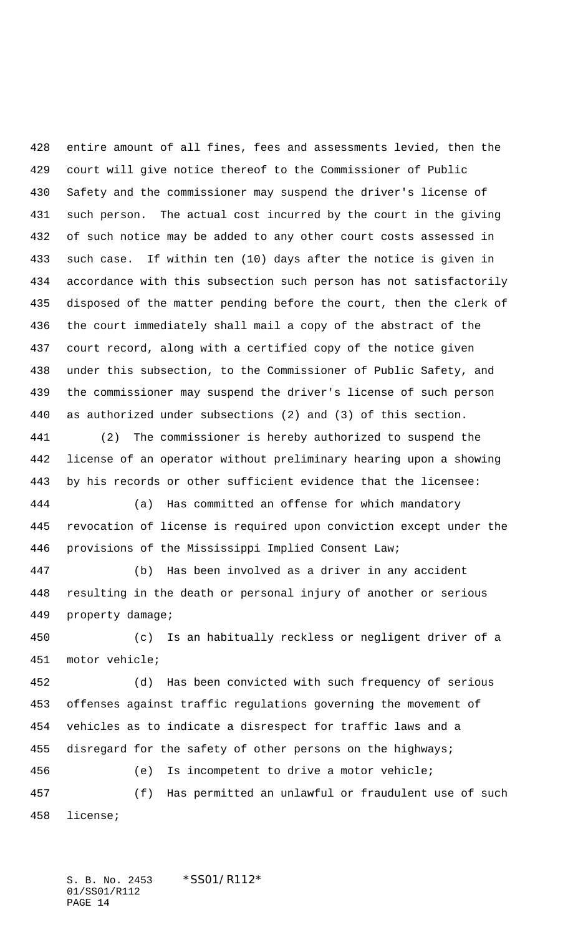entire amount of all fines, fees and assessments levied, then the court will give notice thereof to the Commissioner of Public Safety and the commissioner may suspend the driver's license of such person. The actual cost incurred by the court in the giving of such notice may be added to any other court costs assessed in such case. If within ten (10) days after the notice is given in accordance with this subsection such person has not satisfactorily disposed of the matter pending before the court, then the clerk of the court immediately shall mail a copy of the abstract of the court record, along with a certified copy of the notice given under this subsection, to the Commissioner of Public Safety, and the commissioner may suspend the driver's license of such person as authorized under subsections (2) and (3) of this section.

 (2) The commissioner is hereby authorized to suspend the license of an operator without preliminary hearing upon a showing by his records or other sufficient evidence that the licensee:

 (a) Has committed an offense for which mandatory revocation of license is required upon conviction except under the provisions of the Mississippi Implied Consent Law;

 (b) Has been involved as a driver in any accident resulting in the death or personal injury of another or serious property damage;

 (c) Is an habitually reckless or negligent driver of a motor vehicle;

 (d) Has been convicted with such frequency of serious offenses against traffic regulations governing the movement of vehicles as to indicate a disrespect for traffic laws and a 455 disregard for the safety of other persons on the highways;

 (e) Is incompetent to drive a motor vehicle; (f) Has permitted an unlawful or fraudulent use of such license;

S. B. No. 2453 \*SS01/R112\* 01/SS01/R112 PAGE 14